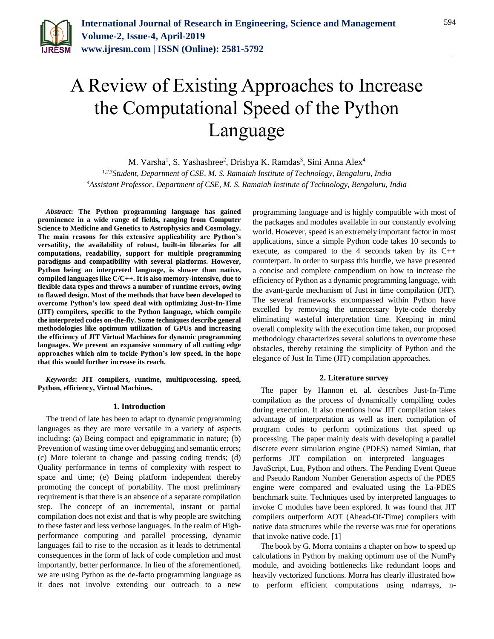

# A Review of Existing Approaches to Increase the Computational Speed of the Python Language

M. Varsha<sup>1</sup>, S. Yashashree<sup>2</sup>, Drishya K. Ramdas<sup>3</sup>, Sini Anna Alex<sup>4</sup>

*1,2,3Student, Department of CSE, M. S. Ramaiah Institute of Technology, Bengaluru, India 4Assistant Professor, Department of CSE, M. S. Ramaiah Institute of Technology, Bengaluru, India*

*Abstract***: The Python programming language has gained prominence in a wide range of fields, ranging from Computer Science to Medicine and Genetics to Astrophysics and Cosmology. The main reasons for this extensive applicability are Python's versatility, the availability of robust, built-in libraries for all computations, readability, support for multiple programming paradigms and compatibility with several platforms. However, Python being an interpreted language, is slower than native, compiled languages like C/C++. It is also memory-intensive, due to flexible data types and throws a number of runtime errors, owing to flawed design. Most of the methods that have been developed to overcome Python's low speed deal with optimizing Just-In-Time (JIT) compilers, specific to the Python language, which compile the interpreted codes on-the-fly. Some techniques describe general methodologies like optimum utilization of GPUs and increasing the efficiency of JIT Virtual Machines for dynamic programming languages. We present an expansive summary of all cutting edge approaches which aim to tackle Python's low speed, in the hope that this would further increase its reach.** 

*Keywords***: JIT compilers, runtime, multiprocessing, speed, Python, efficiency, Virtual Machines.**

### **1. Introduction**

The trend of late has been to adapt to dynamic programming languages as they are more versatile in a variety of aspects including: (a) Being compact and epigrammatic in nature; (b) Prevention of wasting time over debugging and semantic errors; (c) More tolerant to change and passing coding trends; (d) Quality performance in terms of complexity with respect to space and time; (e) Being platform independent thereby promoting the concept of portability. The most preliminary requirement is that there is an absence of a separate compilation step. The concept of an incremental, instant or partial compilation does not exist and that is why people are switching to these faster and less verbose languages. In the realm of Highperformance computing and parallel processing, dynamic languages fail to rise to the occasion as it leads to detrimental consequences in the form of lack of code completion and most importantly, better performance. In lieu of the aforementioned, we are using Python as the de-facto programming language as it does not involve extending our outreach to a new

programming language and is highly compatible with most of the packages and modules available in our constantly evolving world. However, speed is an extremely important factor in most applications, since a simple Python code takes 10 seconds to execute, as compared to the 4 seconds taken by its C++ counterpart. In order to surpass this hurdle, we have presented a concise and complete compendium on how to increase the efficiency of Python as a dynamic programming language, with the avant-garde mechanism of Just in time compilation (JIT). The several frameworks encompassed within Python have excelled by removing the unnecessary byte-code thereby eliminating wasteful interpretation time. Keeping in mind overall complexity with the execution time taken, our proposed methodology characterizes several solutions to overcome these obstacles, thereby retaining the simplicity of Python and the elegance of Just In Time (JIT) compilation approaches.

### **2. Literature survey**

The paper by Hannon et. al. describes Just-In-Time compilation as the process of dynamically compiling codes during execution. It also mentions how JIT compilation takes advantage of interpretation as well as inert compilation of program codes to perform optimizations that speed up processing. The paper mainly deals with developing a parallel discrete event simulation engine (PDES) named Simian, that performs JIT compilation on interpreted languages – JavaScript, Lua, Python and others. The Pending Event Queue and Pseudo Random Number Generation aspects of the PDES engine were compared and evaluated using the La-PDES benchmark suite. Techniques used by interpreted languages to invoke C modules have been explored. It was found that JIT compilers outperform AOT (Ahead-Of-Time) compilers with native data structures while the reverse was true for operations that invoke native code. [1]

The book by G. Morra contains a chapter on how to speed up calculations in Python by making optimum use of the NumPy module, and avoiding bottlenecks like redundant loops and heavily vectorized functions. Morra has clearly illustrated how to perform efficient computations using ndarrays, n-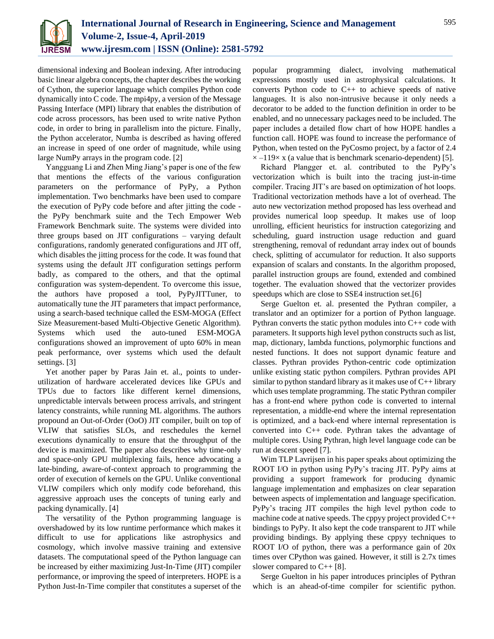

dimensional indexing and Boolean indexing. After introducing basic linear algebra concepts, the chapter describes the working of Cython, the superior language which compiles Python code dynamically into C code. The mpi4py, a version of the Message Passing Interface (MPI) library that enables the distribution of code across processors, has been used to write native Python code, in order to bring in parallelism into the picture. Finally, the Python accelerator, Numba is described as having offered an increase in speed of one order of magnitude, while using large NumPy arrays in the program code. [2]

Yangguang Li and Zhen Ming Jiang's paper is one of the few that mentions the effects of the various configuration parameters on the performance of PyPy, a Python implementation. Two benchmarks have been used to compare the execution of PyPy code before and after jitting the code the PyPy benchmark suite and the Tech Empower Web Framework Benchmark suite. The systems were divided into three groups based on JIT configurations – varying default configurations, randomly generated configurations and JIT off, which disables the jitting process for the code. It was found that systems using the default JIT configuration settings perform badly, as compared to the others, and that the optimal configuration was system-dependent. To overcome this issue, the authors have proposed a tool, PyPyJITTuner, to automatically tune the JIT parameters that impact performance, using a search-based technique called the ESM-MOGA (Effect Size Measurement-based Multi-Objective Genetic Algorithm). Systems which used the auto-tuned ESM-MOGA configurations showed an improvement of upto 60% in mean peak performance, over systems which used the default settings. [3]

Yet another paper by Paras Jain et. al., points to underutilization of hardware accelerated devices like GPUs and TPUs due to factors like different kernel dimensions, unpredictable intervals between process arrivals, and stringent latency constraints, while running ML algorithms. The authors propound an Out-of-Order (OoO) JIT compiler, built on top of VLIW that satisfies SLOs, and reschedules the kernel executions dynamically to ensure that the throughput of the device is maximized. The paper also describes why time-only and space-only GPU multiplexing fails, hence advocating a late-binding, aware-of-context approach to programming the order of execution of kernels on the GPU. Unlike conventional VLIW compilers which only modify code beforehand, this aggressive approach uses the concepts of tuning early and packing dynamically. [4]

The versatility of the Python programming language is overshadowed by its low runtime performance which makes it difficult to use for applications like astrophysics and cosmology, which involve massive training and extensive datasets. The computational speed of the Python language can be increased by either maximizing Just-In-Time (JIT) compiler performance, or improving the speed of interpreters. HOPE is a Python Just-In-Time compiler that constitutes a superset of the popular programming dialect, involving mathematical expressions mostly used in astrophysical calculations. It converts Python code to C++ to achieve speeds of native languages. It is also non-intrusive because it only needs a decorator to be added to the function definition in order to be enabled, and no unnecessary packages need to be included. The paper includes a detailed flow chart of how HOPE handles a function call. HOPE was found to increase the performance of Python, when tested on the PyCosmo project, by a factor of 2.4  $\times$  –119 $\times$  x (a value that is benchmark scenario-dependent) [5].

Richard Plangger et. al. contributed to the PyPy's vectorization which is built into the tracing just-in-time compiler. Tracing JIT's are based on optimization of hot loops. Traditional vectorization methods have a lot of overhead. The auto new vectorization method proposed has less overhead and provides numerical loop speedup. It makes use of loop unrolling, efficient heuristics for instruction categorizing and scheduling, guard instruction usage reduction and guard strengthening, removal of redundant array index out of bounds check, splitting of accumulator for reduction. It also supports expansion of scalars and constants. In the algorithm proposed, parallel instruction groups are found, extended and combined together. The evaluation showed that the vectorizer provides speedups which are close to SSE4 instruction set.[6]

Serge Guelton et. al. presented the Pythran compiler, a translator and an optimizer for a portion of Python language. Pythran converts the static python modules into C++ code with parameters. It supports high level python constructs such as list, map, dictionary, lambda functions, polymorphic functions and nested functions. It does not support dynamic feature and classes. Pythran provides Python-centric code optimization unlike existing static python compilers. Pythran provides API similar to python standard library as it makes use of  $C_{++}$  library which uses template programming. The static Pythran compiler has a front-end where python code is converted to internal representation, a middle-end where the internal representation is optimized, and a back-end where internal representation is converted into C++ code. Pythran takes the advantage of multiple cores. Using Pythran, high level language code can be run at descent speed [7].

Wim TLP Lavrijsen in his paper speaks about optimizing the ROOT I/O in python using PyPy's tracing JIT. PyPy aims at providing a support framework for producing dynamic language implementation and emphasizes on clear separation between aspects of implementation and language specification. PyPy's tracing JIT compiles the high level python code to machine code at native speeds. The cppyy project provided C++ bindings to PyPy. It also kept the code transparent to JIT while providing bindings. By applying these cppyy techniques to ROOT I/O of python, there was a performance gain of 20x times over CPython was gained. However, it still is 2.7x times slower compared to C++ [8].

Serge Guelton in his paper introduces principles of Pythran which is an ahead-of-time compiler for scientific python.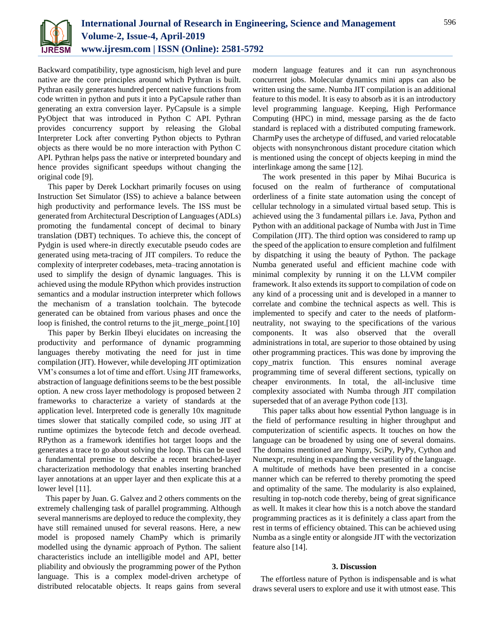

Backward compatibility, type agnosticism, high level and pure native are the core principles around which Pythran is built. Pythran easily generates hundred percent native functions from code written in python and puts it into a PyCapsule rather than generating an extra conversion layer. PyCapsule is a simple PyObject that was introduced in Python C API. Pythran provides concurrency support by releasing the Global Interpreter Lock after converting Python objects to Pythran objects as there would be no more interaction with Python C API. Pythran helps pass the native or interpreted boundary and hence provides significant speedups without changing the original code [9].

This paper by Derek Lockhart primarily focuses on using Instruction Set Simulator (ISS) to achieve a balance between high productivity and performance levels. The ISS must be generated from Architectural Description of Languages (ADLs) promoting the fundamental concept of decimal to binary translation (DBT) techniques. To achieve this, the concept of Pydgin is used where-in directly executable pseudo codes are generated using meta-tracing of JIT compilers. To reduce the complexity of interpreter codebases, meta–tracing annotation is used to simplify the design of dynamic languages. This is achieved using the module RPython which provides instruction semantics and a modular instruction interpreter which follows the mechanism of a translation toolchain. The bytecode generated can be obtained from various phases and once the loop is finished, the control returns to the jit\_merge\_point.[10]

This paper by Berkin Ilbeyi elucidates on increasing the productivity and performance of dynamic programming languages thereby motivating the need for just in time compilation (JIT). However, while developing JIT optimization VM's consumes a lot of time and effort. Using JIT frameworks, abstraction of language definitions seems to be the best possible option. A new cross layer methodology is proposed between 2 frameworks to characterize a variety of standards at the application level. Interpreted code is generally 10x magnitude times slower that statically compiled code, so using JIT at runtime optimizes the bytecode fetch and decode overhead. RPython as a framework identifies hot target loops and the generates a trace to go about solving the loop. This can be used a fundamental premise to describe a recent branched-layer characterization methodology that enables inserting branched layer annotations at an upper layer and then explicate this at a lower level [11].

This paper by Juan. G. Galvez and 2 others comments on the extremely challenging task of parallel programming. Although several mannerisms are deployed to reduce the complexity, they have still remained unused for several reasons. Here, a new model is proposed namely ChamPy which is primarily modelled using the dynamic approach of Python. The salient characteristics include an intelligible model and API, better pliability and obviously the programming power of the Python language. This is a complex model-driven archetype of distributed relocatable objects. It reaps gains from several

modern language features and it can run asynchronous concurrent jobs. Molecular dynamics mini apps can also be written using the same. Numba JIT compilation is an additional feature to this model. It is easy to absorb as it is an introductory level programming language. Keeping, High Performance Computing (HPC) in mind, message parsing as the de facto standard is replaced with a distributed computing framework. CharmPy uses the archetype of diffused, and varied relocatable objects with nonsynchronous distant procedure citation which is mentioned using the concept of objects keeping in mind the interlinkage among the same [12].

The work presented in this paper by Mihai Bucurica is focused on the realm of furtherance of computational orderliness of a finite state automation using the concept of cellular technology in a simulated virtual based setup. This is achieved using the 3 fundamental pillars i.e. Java, Python and Python with an additional package of Numba with Just in Time Compilation (JIT). The third option was considered to ramp up the speed of the application to ensure completion and fulfilment by dispatching it using the beauty of Python. The package Numba generated useful and efficient machine code with minimal complexity by running it on the LLVM compiler framework. It also extends its support to compilation of code on any kind of a processing unit and is developed in a manner to correlate and combine the technical aspects as well. This is implemented to specify and cater to the needs of platformneutrality, not swaying to the specifications of the various components. It was also observed that the overall administrations in total, are superior to those obtained by using other programming practices. This was done by improving the copy\_matrix function. This ensures nominal average programming time of several different sections, typically on cheaper environments. In total, the all-inclusive time complexity associated with Numba through JIT compilation superseded that of an average Python code [13].

This paper talks about how essential Python language is in the field of performance resulting in higher throughput and computerization of scientific aspects. It touches on how the language can be broadened by using one of several domains. The domains mentioned are Numpy, SciPy, PyPy, Cython and Numexpr, resulting in expanding the versatility of the language. A multitude of methods have been presented in a concise manner which can be referred to thereby promoting the speed and optimality of the same. The modularity is also explained, resulting in top-notch code thereby, being of great significance as well. It makes it clear how this is a notch above the standard programming practices as it is definitely a class apart from the rest in terms of efficiency obtained. This can be achieved using Numba as a single entity or alongside JIT with the vectorization feature also [14].

## **3. Discussion**

The effortless nature of Python is indispensable and is what draws several users to explore and use it with utmost ease. This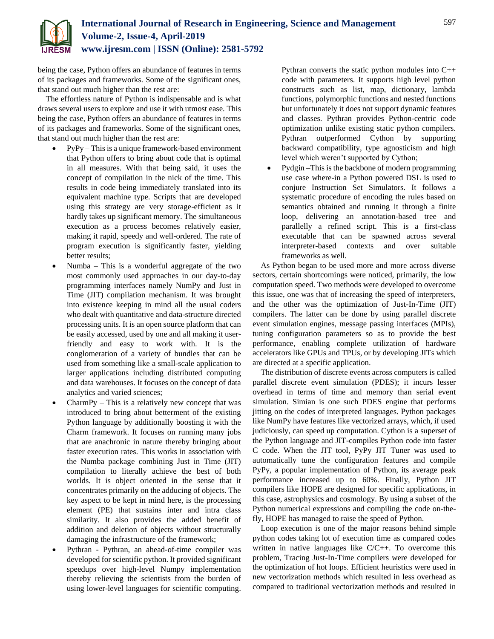

being the case, Python offers an abundance of features in terms of its packages and frameworks. Some of the significant ones, that stand out much higher than the rest are:

The effortless nature of Python is indispensable and is what draws several users to explore and use it with utmost ease. This being the case, Python offers an abundance of features in terms of its packages and frameworks. Some of the significant ones, that stand out much higher than the rest are:

- PyPy This is a unique framework-based environment that Python offers to bring about code that is optimal in all measures. With that being said, it uses the concept of compilation in the nick of the time. This results in code being immediately translated into its equivalent machine type. Scripts that are developed using this strategy are very storage-efficient as it hardly takes up significant memory. The simultaneous execution as a process becomes relatively easier, making it rapid, speedy and well-ordered. The rate of program execution is significantly faster, yielding better results;
- Numba This is a wonderful aggregate of the two most commonly used approaches in our day-to-day programming interfaces namely NumPy and Just in Time (JIT) compilation mechanism. It was brought into existence keeping in mind all the usual coders who dealt with quantitative and data-structure directed processing units. It is an open source platform that can be easily accessed, used by one and all making it userfriendly and easy to work with. It is the conglomeration of a variety of bundles that can be used from something like a small-scale application to larger applications including distributed computing and data warehouses. It focuses on the concept of data analytics and varied sciences;
- CharmPy This is a relatively new concept that was introduced to bring about betterment of the existing Python language by additionally boosting it with the Charm framework. It focuses on running many jobs that are anachronic in nature thereby bringing about faster execution rates. This works in association with the Numba package combining Just in Time (JIT) compilation to literally achieve the best of both worlds. It is object oriented in the sense that it concentrates primarily on the adducing of objects. The key aspect to be kept in mind here, is the processing element (PE) that sustains inter and intra class similarity. It also provides the added benefit of addition and deletion of objects without structurally damaging the infrastructure of the framework;
- Pythran Pythran, an ahead-of-time compiler was developed for scientific python. It provided significant speedups over high-level Numpy implementation thereby relieving the scientists from the burden of using lower-level languages for scientific computing.

Pythran converts the static python modules into C++ code with parameters. It supports high level python constructs such as list, map, dictionary, lambda functions, polymorphic functions and nested functions but unfortunately it does not support dynamic features and classes. Pythran provides Python-centric code optimization unlike existing static python compilers. Pythran outperformed Cython by supporting backward compatibility, type agnosticism and high level which weren't supported by Cython;

 Pydgin –This is the backbone of modern programming use case where-in a Python powered DSL is used to conjure Instruction Set Simulators. It follows a systematic procedure of encoding the rules based on semantics obtained and running it through a finite loop, delivering an annotation-based tree and parallelly a refined script. This is a first-class executable that can be spawned across several interpreter-based contexts and over suitable frameworks as well.

As Python began to be used more and more across diverse sectors, certain shortcomings were noticed, primarily, the low computation speed. Two methods were developed to overcome this issue, one was that of increasing the speed of interpreters, and the other was the optimization of Just-In-Time (JIT) compilers. The latter can be done by using parallel discrete event simulation engines, message passing interfaces (MPIs), tuning configuration parameters so as to provide the best performance, enabling complete utilization of hardware accelerators like GPUs and TPUs, or by developing JITs which are directed at a specific application.

The distribution of discrete events across computers is called parallel discrete event simulation (PDES); it incurs lesser overhead in terms of time and memory than serial event simulation. Simian is one such PDES engine that performs jitting on the codes of interpreted languages. Python packages like NumPy have features like vectorized arrays, which, if used judiciously, can speed up computation. Cython is a superset of the Python language and JIT-compiles Python code into faster C code. When the JIT tool, PyPy JIT Tuner was used to automatically tune the configuration features and compile PyPy, a popular implementation of Python, its average peak performance increased up to 60%. Finally, Python JIT compilers like HOPE are designed for specific applications, in this case, astrophysics and cosmology. By using a subset of the Python numerical expressions and compiling the code on-thefly, HOPE has managed to raise the speed of Python.

Loop execution is one of the major reasons behind simple python codes taking lot of execution time as compared codes written in native languages like C/C++. To overcome this problem, Tracing Just-In-Time compilers were developed for the optimization of hot loops. Efficient heuristics were used in new vectorization methods which resulted in less overhead as compared to traditional vectorization methods and resulted in